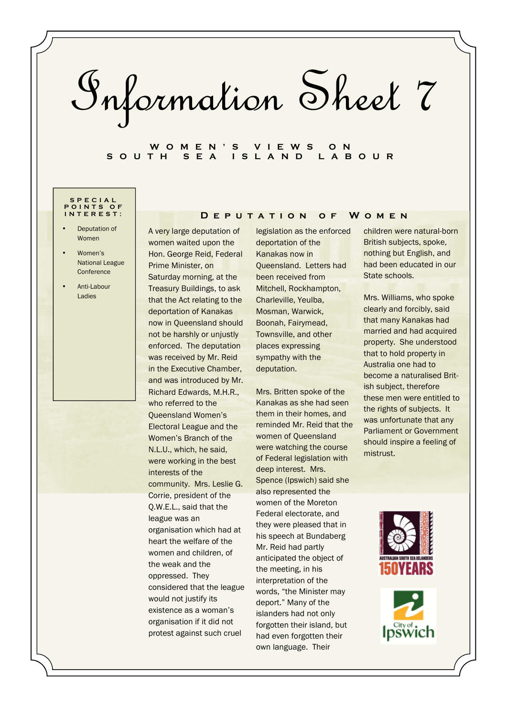Information Sheet 7

# **W O M E N ' S V I E W S O N S O U T H S E A I S L A N D L A B O U R**

#### **S P E C I A L P O I N T S O F I N T E R E S T :**

- Deputation of Women
- Women's National League **Conference**
- Anti-Labour **Ladies**

A very large deputation of women waited upon the Hon. George Reid, Federal Prime Minister, on Saturday morning, at the Treasury Buildings, to ask that the Act relating to the deportation of Kanakas now in Queensland should not be harshly or unjustly enforced. The deputation was received by Mr. Reid in the Executive Chamber, and was introduced by Mr. Richard Edwards, M.H.R., who referred to the Queensland Women's Electoral League and the Women's Branch of the N.L.U., which, he said, were working in the best interests of the community. Mrs. Leslie G. Corrie, president of the Q.W.E.L., said that the league was an organisation which had at heart the welfare of the women and children, of the weak and the oppressed. They considered that the league would not justify its existence as a woman's organisation if it did not protest against such cruel

legislation as the enforced deportation of the Kanakas now in Queensland. Letters had been received from Mitchell, Rockhampton, Charleville, Yeulba, Mosman, Warwick, Boonah, Fairymead, Townsville, and other places expressing sympathy with the deputation.

**D e p u t a t i o n o f W o m e n** 

Mrs. Britten spoke of the Kanakas as she had seen them in their homes, and reminded Mr. Reid that the women of Queensland were watching the course of Federal legislation with deep interest. Mrs. Spence (Ipswich) said she also represented the women of the Moreton Federal electorate, and they were pleased that in his speech at Bundaberg Mr. Reid had partly anticipated the object of the meeting, in his interpretation of the words, "the Minister may deport." Many of the islanders had not only forgotten their island, but had even forgotten their own language. Their

children were natural-born British subjects, spoke, nothing but English, and had been educated in our State schools.

Mrs. Williams, who spoke clearly and forcibly, said that many Kanakas had married and had acquired property. She understood that to hold property in Australia one had to become a naturalised British subject, therefore these men were entitled to the rights of subjects. It was unfortunate that any Parliament or Government should inspire a feeling of mistrust.



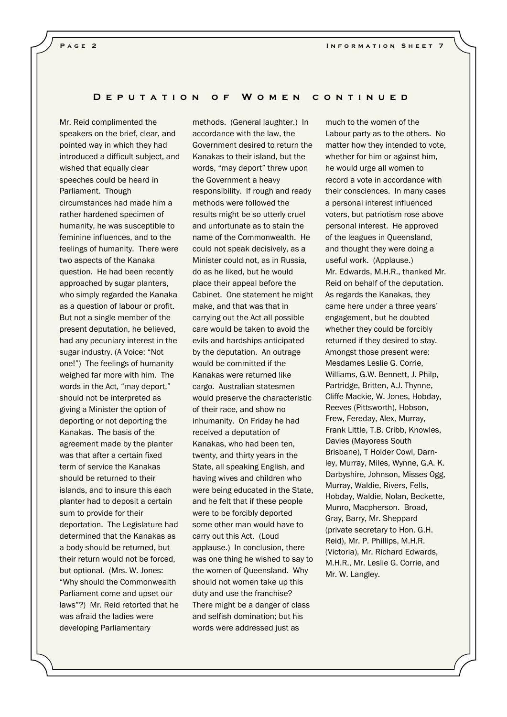#### **D e p u t a t i o n o f W o m e n c o n t i n u e d**

Mr. Reid complimented the speakers on the brief, clear, and pointed way in which they had introduced a difficult subject, and wished that equally clear speeches could be heard in Parliament. Though circumstances had made him a rather hardened specimen of humanity, he was susceptible to feminine influences, and to the feelings of humanity. There were two aspects of the Kanaka question. He had been recently approached by sugar planters, who simply regarded the Kanaka as a question of labour or profit. But not a single member of the present deputation, he believed, had any pecuniary interest in the sugar industry. (A Voice: "Not one!") The feelings of humanity weighed far more with him. The words in the Act, "may deport," should not be interpreted as giving a Minister the option of deporting or not deporting the Kanakas. The basis of the agreement made by the planter was that after a certain fixed term of service the Kanakas should be returned to their islands, and to insure this each planter had to deposit a certain sum to provide for their deportation. The Legislature had determined that the Kanakas as a body should be returned, but their return would not be forced, but optional. (Mrs. W. Jones: "Why should the Commonwealth Parliament come and upset our laws"?) Mr. Reid retorted that he was afraid the ladies were developing Parliamentary

methods. (General laughter.) In accordance with the law, the Government desired to return the Kanakas to their island, but the words, "may deport" threw upon the Government a heavy responsibility. If rough and ready methods were followed the results might be so utterly cruel and unfortunate as to stain the name of the Commonwealth. He could not speak decisively, as a Minister could not, as in Russia, do as he liked, but he would place their appeal before the Cabinet. One statement he might make, and that was that in carrying out the Act all possible care would be taken to avoid the evils and hardships anticipated by the deputation. An outrage would be committed if the Kanakas were returned like cargo. Australian statesmen would preserve the characteristic of their race, and show no inhumanity. On Friday he had received a deputation of Kanakas, who had been ten, twenty, and thirty years in the State, all speaking English, and having wives and children who were being educated in the State, and he felt that if these people were to be forcibly deported some other man would have to carry out this Act. (Loud applause.) In conclusion, there was one thing he wished to say to the women of Queensland. Why should not women take up this duty and use the franchise? There might be a danger of class and selfish domination; but his words were addressed just as

much to the women of the Labour party as to the others. No matter how they intended to vote, whether for him or against him, he would urge all women to record a vote in accordance with their consciences. In many cases a personal interest influenced voters, but patriotism rose above personal interest. He approved of the leagues in Queensland, and thought they were doing a useful work. (Applause.) Mr. Edwards, M.H.R., thanked Mr. Reid on behalf of the deputation. As regards the Kanakas, they came here under a three years' engagement, but he doubted whether they could be forcibly returned if they desired to stay. Amongst those present were: Mesdames Leslie G. Corrie, Williams, G.W. Bennett, J. Philp, Partridge, Britten, A.J. Thynne, Cliffe-Mackie, W. Jones, Hobday, Reeves (Pittsworth), Hobson, Frew, Fereday, Alex, Murray, Frank Little, T.B. Cribb, Knowles, Davies (Mayoress South Brisbane), T Holder Cowl, Darnley, Murray, Miles, Wynne, G.A. K. Darbyshire, Johnson, Misses Ogg, Murray, Waldie, Rivers, Fells, Hobday, Waldie, Nolan, Beckette, Munro, Macpherson. Broad, Gray, Barry, Mr. Sheppard (private secretary to Hon. G.H. Reid), Mr. P. Phillips, M.H.R. (Victoria), Mr. Richard Edwards, M.H.R., Mr. Leslie G. Corrie, and Mr. W. Langley.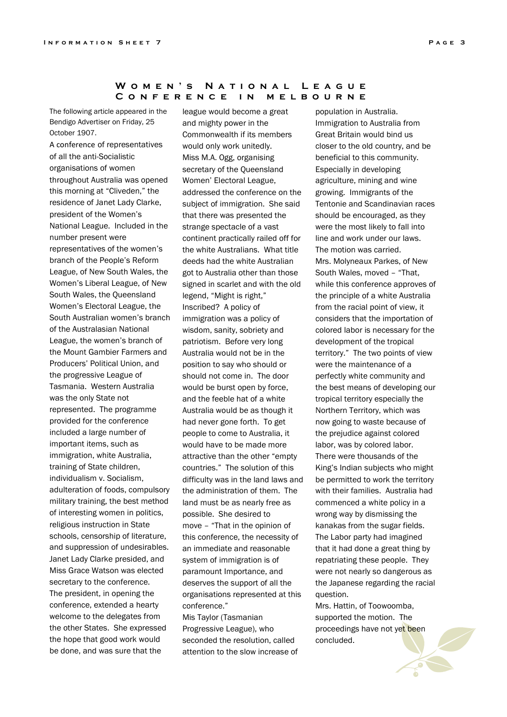# WOMEN'S NATIONAL LEAGUE **C o n f e r e n c e i n m e l b o u r n e**

The following article appeared in the Bendigo Advertiser on Friday, 25 October 1907.

A conference of representatives of all the anti-Socialistic organisations of women throughout Australia was opened this morning at "Cliveden," the residence of Janet Lady Clarke, president of the Women's National League. Included in the number present were representatives of the women's branch of the People's Reform League, of New South Wales, the Women's Liberal League, of New South Wales, the Queensland Women's Electoral League, the South Australian women's branch of the Australasian National League, the women's branch of the Mount Gambier Farmers and Producers' Political Union, and the progressive League of Tasmania. Western Australia was the only State not represented. The programme provided for the conference included a large number of important items, such as immigration, white Australia, training of State children, individualism v. Socialism, adulteration of foods, compulsory military training, the best method of interesting women in politics, religious instruction in State schools, censorship of literature, and suppression of undesirables. Janet Lady Clarke presided, and Miss Grace Watson was elected secretary to the conference. The president, in opening the conference, extended a hearty welcome to the delegates from the other States. She expressed the hope that good work would be done, and was sure that the

league would become a great and mighty power in the Commonwealth if its members would only work unitedly. Miss M.A. Ogg, organising secretary of the Queensland Women' Electoral League, addressed the conference on the subject of immigration. She said that there was presented the strange spectacle of a vast continent practically railed off for the white Australians. What title deeds had the white Australian got to Australia other than those signed in scarlet and with the old legend, "Might is right," Inscribed? A policy of immigration was a policy of wisdom, sanity, sobriety and patriotism. Before very long Australia would not be in the position to say who should or should not come in. The door would be burst open by force, and the feeble hat of a white Australia would be as though it had never gone forth. To get people to come to Australia, it would have to be made more attractive than the other "empty countries." The solution of this difficulty was in the land laws and the administration of them. The land must be as nearly free as possible. She desired to move – "That in the opinion of this conference, the necessity of an immediate and reasonable system of immigration is of paramount Importance, and deserves the support of all the organisations represented at this conference."

Mis Taylor (Tasmanian Progressive League), who seconded the resolution, called attention to the slow increase of

population in Australia. Immigration to Australia from Great Britain would bind us closer to the old country, and be beneficial to this community. Especially in developing agriculture, mining and wine growing. Immigrants of the Tentonie and Scandinavian races should be encouraged, as they were the most likely to fall into line and work under our laws. The motion was carried. Mrs. Molyneaux Parkes, of New South Wales, moved – "That, while this conference approves of the principle of a white Australia from the racial point of view, it considers that the importation of colored labor is necessary for the development of the tropical territory." The two points of view were the maintenance of a perfectly white community and the best means of developing our tropical territory especially the Northern Territory, which was now going to waste because of the prejudice against colored labor, was by colored labor. There were thousands of the King's Indian subjects who might be permitted to work the territory with their families. Australia had commenced a white policy in a wrong way by dismissing the kanakas from the sugar fields. The Labor party had imagined that it had done a great thing by repatriating these people. They were not nearly so dangerous as the Japanese regarding the racial question.

Mrs. Hattin, of Toowoomba, supported the motion. The proceedings have not yet been concluded.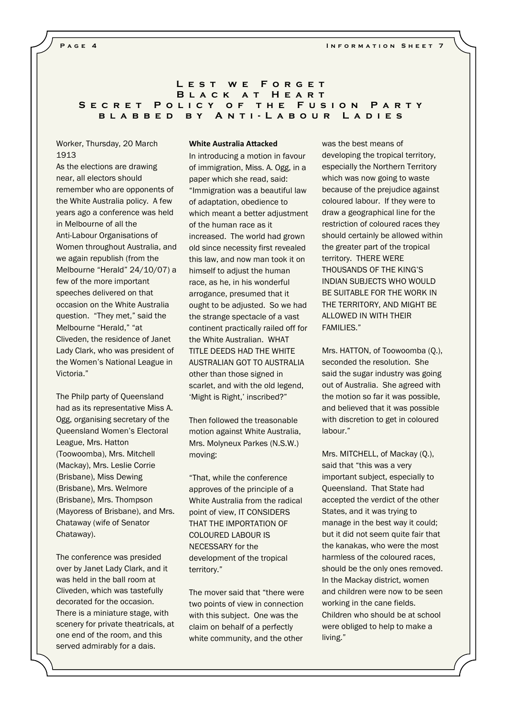# L E S T W E F O R G E T **BLACK AT HEART SECRET POLICY OF THE FUSION PARTY** B L A B B E D B Y A N T I - L A B O U R L A D I E S

# Worker, Thursday, 20 March 1913

As the elections are drawing near, all electors should remember who are opponents of the White Australia policy. A few years ago a conference was held in Melbourne of all the Anti-Labour Organisations of Women throughout Australia, and we again republish (from the Melbourne "Herald" 24/10/07) a few of the more important speeches delivered on that occasion on the White Australia question. "They met," said the Melbourne "Herald," "at Cliveden, the residence of Janet Lady Clark, who was president of the Women's National League in Victoria."

The Philp party of Queensland had as its representative Miss A. Ogg, organising secretary of the Queensland Women's Electoral League, Mrs. Hatton (Toowoomba), Mrs. Mitchell (Mackay), Mrs. Leslie Corrie (Brisbane), Miss Dewing (Brisbane), Mrs. Welmore (Brisbane), Mrs. Thompson (Mayoress of Brisbane), and Mrs. Chataway (wife of Senator Chataway).

The conference was presided over by Janet Lady Clark, and it was held in the ball room at Cliveden, which was tastefully decorated for the occasion. There is a miniature stage, with scenery for private theatricals, at one end of the room, and this served admirably for a dais.

### **White Australia Attacked**

In introducing a motion in favour of immigration, Miss. A. Ogg, in a paper which she read, said: "Immigration was a beautiful law of adaptation, obedience to which meant a better adjustment of the human race as it increased. The world had grown old since necessity first revealed this law, and now man took it on himself to adjust the human race, as he, in his wonderful arrogance, presumed that it ought to be adjusted. So we had the strange spectacle of a vast continent practically railed off for the White Australian. WHAT TITLE DEEDS HAD THE WHITE AUSTRALIAN GOT TO AUSTRALIA other than those signed in scarlet, and with the old legend, 'Might is Right,' inscribed?"

Then followed the treasonable motion against White Australia, Mrs. Molyneux Parkes (N.S.W.) moving:

"That, while the conference approves of the principle of a White Australia from the radical point of view, IT CONSIDERS THAT THE IMPORTATION OF COLOURED LABOUR IS NECESSARY for the development of the tropical territory."

The mover said that "there were two points of view in connection with this subject. One was the claim on behalf of a perfectly white community, and the other

was the best means of developing the tropical territory, especially the Northern Territory which was now going to waste because of the prejudice against coloured labour. If they were to draw a geographical line for the restriction of coloured races they should certainly be allowed within the greater part of the tropical territory. THERE WERE THOUSANDS OF THE KING'S INDIAN SUBJECTS WHO WOULD BE SUITABLE FOR THE WORK IN THE TERRITORY, AND MIGHT BE ALLOWED IN WITH THEIR FAMILIES."

Mrs. HATTON, of Toowoomba (Q.), seconded the resolution. She said the sugar industry was going out of Australia. She agreed with the motion so far it was possible, and believed that it was possible with discretion to get in coloured labour."

Mrs. MITCHELL, of Mackay (Q.), said that "this was a very important subject, especially to Queensland. That State had accepted the verdict of the other States, and it was trying to manage in the best way it could; but it did not seem quite fair that the kanakas, who were the most harmless of the coloured races, should be the only ones removed. In the Mackay district, women and children were now to be seen working in the cane fields. Children who should be at school were obliged to help to make a living."